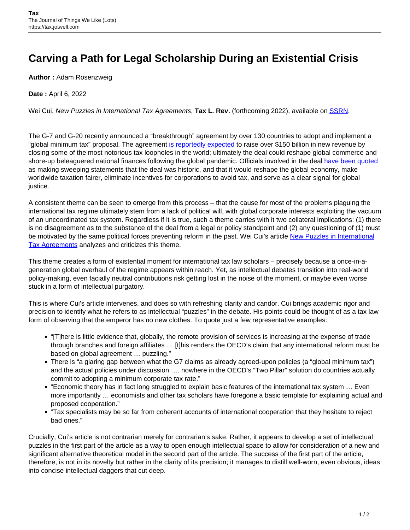## **Carving a Path for Legal Scholarship During an Existential Crisis**

**Author :** Adam Rosenzweig

**Date :** April 6, 2022

Wei Cui, New Puzzles in International Tax Agreements, Tax L. Rev. (forthcoming 2022), available on **SSRN**.

The G-7 and G-20 recently announced a "breakthrough" agreement by over 130 countries to adopt and implement a "global minimum tax" proposal. The agreement [is reportedly expected](https://www.nytimes.com/2021/07/01/business/global-minimum-tax.html) to raise over \$150 billion in new revenue by closing some of the most notorious tax loopholes in the world; ultimately the deal could reshape global commerce and shore-up beleaguered national finances following the global pandemic. Officials involved in the deal [have been quoted](https://www.aljazeera.com/news/2021/10/31/g20-leaders-endorse-global-corporate-minimum-tax) as making sweeping statements that the deal was historic, and that it would reshape the global economy, make worldwide taxation fairer, eliminate incentives for corporations to avoid tax, and serve as a clear signal for global justice.

A consistent theme can be seen to emerge from this process – that the cause for most of the problems plaguing the international tax regime ultimately stem from a lack of political will, with global corporate interests exploiting the vacuum of an uncoordinated tax system. Regardless if it is true, such a theme carries with it two collateral implications: (1) there is no disagreement as to the substance of the deal from a legal or policy standpoint and (2) any questioning of (1) must be motivated by the same political forces preventing reform in the past. Wei Cui's article [New Puzzles in International](https://papers.ssrn.com/sol3/papers.cfm?abstract_id=3877854) [Tax Agreements](https://papers.ssrn.com/sol3/papers.cfm?abstract_id=3877854) analyzes and criticizes this theme.

This theme creates a form of existential moment for international tax law scholars – precisely because a once-in-ageneration global overhaul of the regime appears within reach. Yet, as intellectual debates transition into real-world policy-making, even facially neutral contributions risk getting lost in the noise of the moment, or maybe even worse stuck in a form of intellectual purgatory.

This is where Cui's article intervenes, and does so with refreshing clarity and candor. Cui brings academic rigor and precision to identify what he refers to as intellectual "puzzles" in the debate. His points could be thought of as a tax law form of observing that the emperor has no new clothes. To quote just a few representative examples:

- "[T]here is little evidence that, globally, the remote provision of services is increasing at the expense of trade through branches and foreign affiliates … [t]his renders the OECD's claim that any international reform must be based on global agreement … puzzling."
- There is "a glaring gap between what the G7 claims as already agreed-upon policies (a "global minimum tax") and the actual policies under discussion …. nowhere in the OECD's "Two Pillar" solution do countries actually commit to adopting a minimum corporate tax rate."
- "Economic theory has in fact long struggled to explain basic features of the international tax system … Even more importantly … economists and other tax scholars have foregone a basic template for explaining actual and proposed cooperation."
- "Tax specialists may be so far from coherent accounts of international cooperation that they hesitate to reject bad ones."

Crucially, Cui's article is not contrarian merely for contrarian's sake. Rather, it appears to develop a set of intellectual puzzles in the first part of the article as a way to open enough intellectual space to allow for consideration of a new and significant alternative theoretical model in the second part of the article. The success of the first part of the article, therefore, is not in its novelty but rather in the clarity of its precision; it manages to distill well-worn, even obvious, ideas into concise intellectual daggers that cut deep.